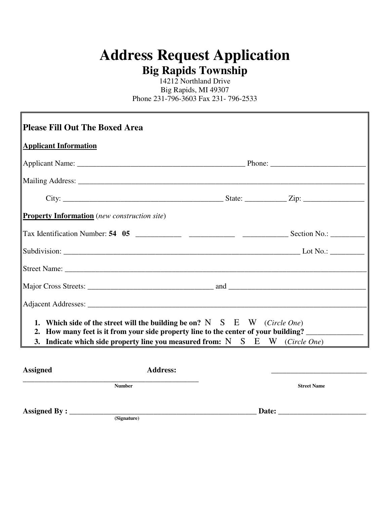## **Address Request Application Big Rapids Township**

14212 Northland Drive Big Rapids, MI 49307 Phone 231-796-3603 Fax 231- 796-2533

| <b>Please Fill Out The Boxed Area</b>               |                                                                                                                                                                    |                    |
|-----------------------------------------------------|--------------------------------------------------------------------------------------------------------------------------------------------------------------------|--------------------|
| <b>Applicant Information</b>                        |                                                                                                                                                                    |                    |
|                                                     |                                                                                                                                                                    |                    |
|                                                     |                                                                                                                                                                    |                    |
|                                                     |                                                                                                                                                                    |                    |
| <b>Property Information</b> (new construction site) |                                                                                                                                                                    |                    |
|                                                     |                                                                                                                                                                    |                    |
|                                                     |                                                                                                                                                                    |                    |
|                                                     |                                                                                                                                                                    |                    |
|                                                     |                                                                                                                                                                    |                    |
|                                                     |                                                                                                                                                                    |                    |
|                                                     | 1. Which side of the street will the building be on? N $S$ E W (Circle One)<br>2. How many feet is it from your side property line to the center of your building? |                    |
|                                                     | 3. Indicate which side property line you measured from: $N \ S \ E \ W$ (Circle One)                                                                               |                    |
| <b>Assigned</b>                                     | <b>Address:</b>                                                                                                                                                    |                    |
|                                                     | <b>Number</b>                                                                                                                                                      | <b>Street Name</b> |

**Assigned By : \_\_\_\_\_\_\_\_\_\_\_\_\_\_\_\_\_\_\_\_\_\_\_\_\_\_\_\_\_\_\_\_\_\_\_\_\_\_\_\_\_\_\_\_\_\_\_\_\_ Date: \_\_\_\_\_\_\_\_\_\_\_\_\_\_\_\_\_\_\_\_\_\_\_**

**(Signature)**